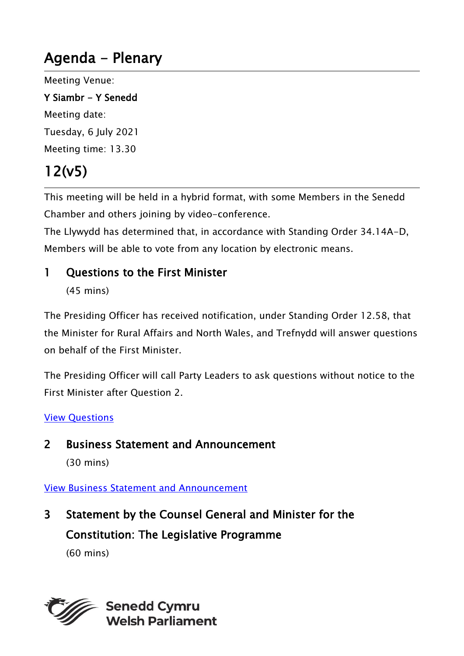# Agenda - Plenary

Meeting Venue:

Y Siambr - Y Senedd Meeting date: Tuesday, 6 July 2021 Meeting time: 13.30

# 12(v5)

This meeting will be held in a hybrid format, with some Members in the Senedd Chamber and others joining by video-conference.

The Llywydd has determined that, in accordance with Standing Order 34.14A-D, Members will be able to vote from any location by electronic means.

#### 1 Ouestions to the First Minister

(45 mins)

The Presiding Officer has received notification, under Standing Order 12.58, that the Minister for Rural Affairs and North Wales, and Trefnydd will answer questions on behalf of the First Minister.

The Presiding Officer will call Party Leaders to ask questions without notice to the First Minister after Question 2.

#### [View Questions](https://record.senedd.wales/OrderPaper/OralQuestions/06-07-2021/)

2 Business Statement and Announcement

(30 mins)

#### [View Business Statement and Announcement](https://senedd.wales/archive/business-statements/06-07-2021-business-statement-and-announcement/)

3 Statement by the Counsel General and Minister for the Constitution: The Legislative Programme

(60 mins)